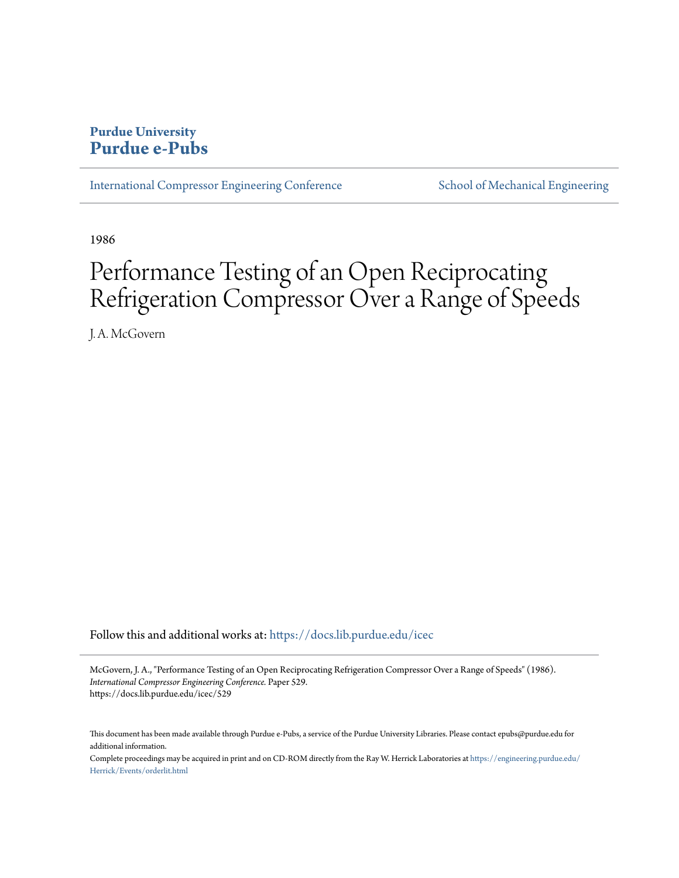# **Purdue University [Purdue e-Pubs](https://docs.lib.purdue.edu?utm_source=docs.lib.purdue.edu%2Ficec%2F529&utm_medium=PDF&utm_campaign=PDFCoverPages)**

[International Compressor Engineering Conference](https://docs.lib.purdue.edu/icec?utm_source=docs.lib.purdue.edu%2Ficec%2F529&utm_medium=PDF&utm_campaign=PDFCoverPages) [School of Mechanical Engineering](https://docs.lib.purdue.edu/me?utm_source=docs.lib.purdue.edu%2Ficec%2F529&utm_medium=PDF&utm_campaign=PDFCoverPages)

1986

# Performance Testing of an Open Reciprocating Refrigeration Compressor Over a Range of Speeds

J. A. McGovern

Follow this and additional works at: [https://docs.lib.purdue.edu/icec](https://docs.lib.purdue.edu/icec?utm_source=docs.lib.purdue.edu%2Ficec%2F529&utm_medium=PDF&utm_campaign=PDFCoverPages)

McGovern, J. A., "Performance Testing of an Open Reciprocating Refrigeration Compressor Over a Range of Speeds" (1986). *International Compressor Engineering Conference.* Paper 529. https://docs.lib.purdue.edu/icec/529

This document has been made available through Purdue e-Pubs, a service of the Purdue University Libraries. Please contact epubs@purdue.edu for additional information.

Complete proceedings may be acquired in print and on CD-ROM directly from the Ray W. Herrick Laboratories at [https://engineering.purdue.edu/](https://engineering.purdue.edu/Herrick/Events/orderlit.html) [Herrick/Events/orderlit.html](https://engineering.purdue.edu/Herrick/Events/orderlit.html)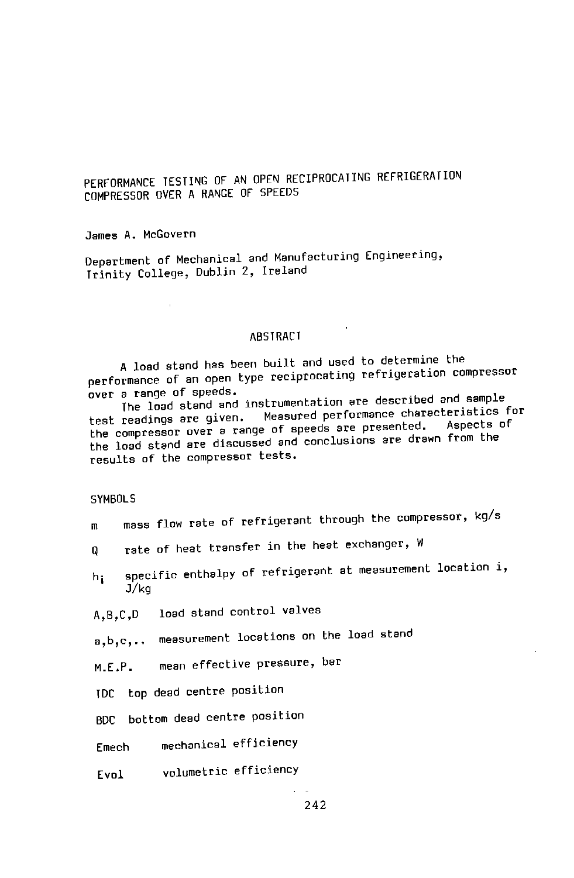PERFORMANCE TESTING OF AN OPEN RECIPROCATING REFRIGERATION COMPRESSOR OVER A RANGE OF SPEEDS

James A. McGovern

Department of Mechanical and Manufacturing Engineering, Trinity College, Dublin Z, Ireland

#### ABSTRACT

A load stand has been built and used to determine the performance of an open type reciprocating refrigeration compressor over <sup>a</sup>range of speeds.

The load stand and instrumentation are described and sample<br>test readings are given. Measured performance characteristics for test readings are given. Measured performance characteristics for test readings are given: Theosers process presented. Aspects of<br>the compressor over a range of speeds are ere drawn from the the load stand are discussed and conclusions are drawn from the results of the compressor tests.

#### SYMBOLS

- m mass flow rate of refrigerant through the compressor, kg/s
- Q **rate of heat transfer in the heat exchanger, W**
- h: specific enthalpy of refrigerant at measurement location i, J/kg
- A,B,C,D load stand control valves

a,b,c, •• measurement locations on the load stand

M.E.P. mean effective pressure, bar

TDC top dead centre position

BDC bottom dead centre position

- Emech mechanical efficiency
- Evol volumetric efficiency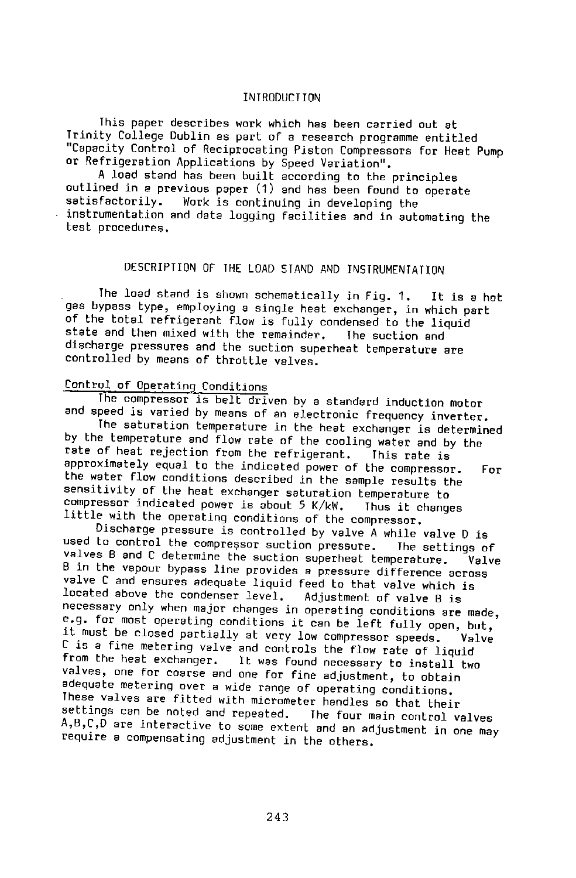#### INTRODUCTION

This paper describes work which has been carried out at Trinity College Dublin as part of a research programme entitled "Capacity Control of Reciprocating Piston Compressors for Heat Pump

A load stand has been built according to the principles outlined in a previous paper (1) and has been found to operate<br>satisfactorily. Work is continuing in developing the instrumentation and data logging facilities and in automating the test procedures.

# DESCRIPTION OF THE LOAD STAND AND INSTRUMENTATION

The load stand *is* shown schematically *in* Fig. 1. It is a hot gas bypass type, employing a single heat exchanger, in which part of the total refrigerant flow is fully condensed to the liquid state and then mixed with the remainder. The suction and state and then mixed with the remainder. discharge pressures and the suction superheat temperature are controlled by means of throttle valves.

# Control of Operating Conditions

The compressor is belt driven by a standard induction motor and speed is varied by means of an electronic frequency inverter.

The saturation temperature in the heat exchanger is determined by the temperature and flow rate of the cooling water and by the<br>rate of heat rejection from the refrigerant. This rate is rate of heat rejection from the refrigerant. This rate is<br>approximately equal to the indicated power of the compressor. approximately equal to the indicated power of the compressor. For the water flow conditions described in the sample results the sensitivity of the heat exchanger saturation temperature to<br>compressor indicated power is about 5 K/kW. Thus it changes little with the operating conditions of the compressor.

Discharge pressure is controlled by valve A while valve D is used to control the compressor suction pressure. The setti<br>valves B and C determine the suction superheat temperature. used co control the compressor suction pressure. The settings of<br>valves B and C determine the suction superheat temperature. Valve<br>B in the vapour bypass line provides a pressure difference across valve C and ensures adequate liquid feed to that valve which is<br>located above the condenser level. Adjustment of valve B is located above the condenser level. necessary only when major changes in operating conditions are made, e.g. for most operating conditions it can be left fully open, but,<br>it must be closed partially at very low compressor speeds. Valve it must be closed partially at very low compressor speeds. <sup>C</sup>is a fine metering valve and controls the flow rate of liquid from the heat exchanger. It was found necessary to install two valves, one for coarse and one for fine adjustment, to obtain adequate metering over a wide range of operating conditions. These valves are fitted with micrometer handles so that their settings can be noted and repeated. The four main control valves A,B,C,D are interactive to some extent and an adjustment in one may require a compensating adjustment in the others.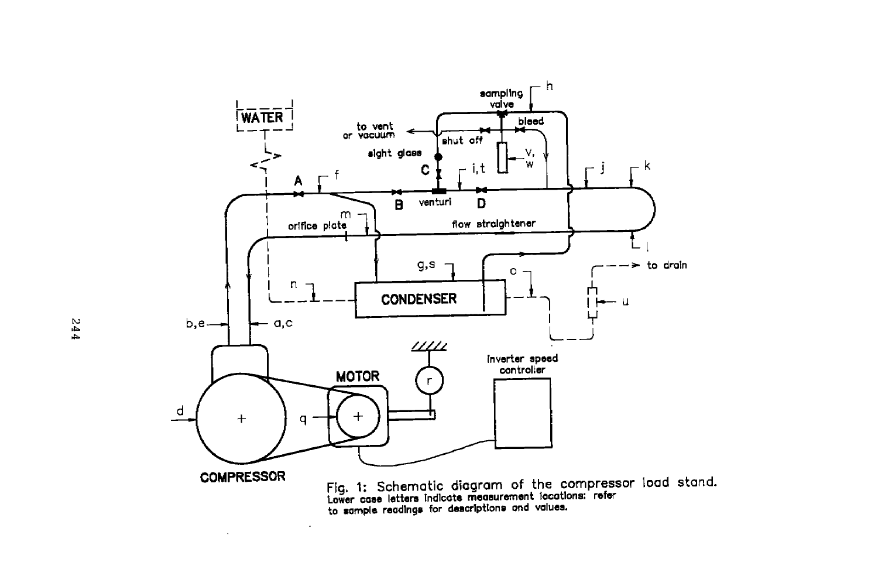

to •ample readings for descrlptlone and values.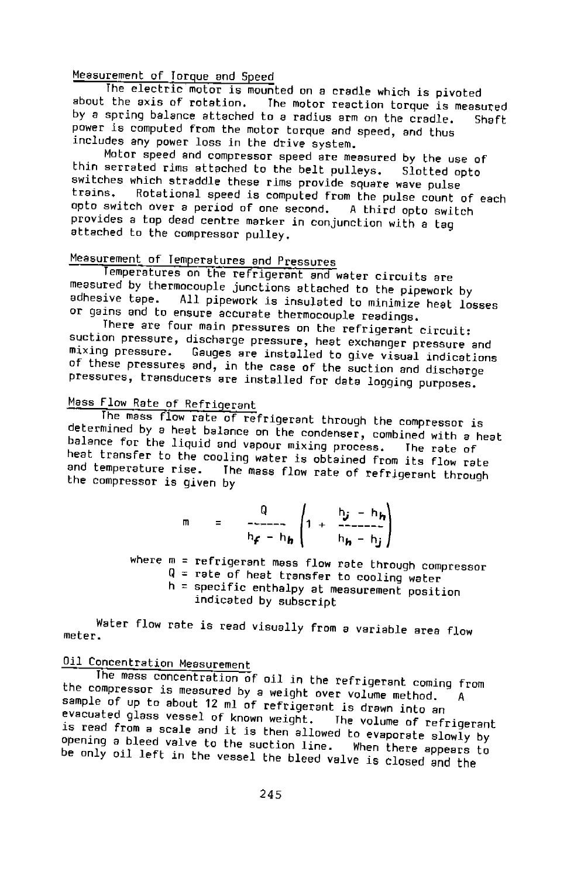Measurement of Torque and Speed<br>The electric motor is mounted on a cradle which is pivoted about the axis of rotation, The motor reaction torque is measured by a spring balance attached to a radius arm on the cradle. Shaft power is computed from the motor torque and speed, and thus includes any power loss in the drive system.

Motor speed and compressor speed are measured by the use of thin serrated rims attached to the belt pulleys. Slotted opto switches which straddle these rims provide square wave pulse<br>trains. Rotational speed is computed from the pulse curt. Rotational speed is computed from the pulse count of each<br>h over a period of one second. A third opto switch opto switch over a period of one second, provides a top dead centre marker in conjunction with a tag attached to the compressor pulley.

# Measurement of Temperatures and Pressures

Temperatures on the refrigerant and water circuits are measured by thermocouple junctions attached to the pipework by adhesive tape. All pipework is insulated to minimize beat left All pipework is insulated to minimize heat losses or gains and to ensure accurate thermocouple readings.

There are four main pressures on the refrigerant circuit: suction pressure, discharge pressure, heat exchanger pressure and mlxlng pressure. Gauges are installed to give visual indications of these pressures and, in the case of the suction and discharge pressures, transducers are installed for data logging purposes.

# Mass Flow Rate of Refrigerant

The mass flow rate of refrigerant through the compressor is determined by a heat balance on the condenser, combined with a heat balance for the liquid and vapour mixing process. The rate of heat transfer to the cooling water is obtained from its flow rate<br>and temperature rise. The mass flow rate of pofrigoral it. The mass flow rate of refrigerant through the compressor is given by

$$
m = \frac{Q}{h_f - h_h} \left( 1 + \frac{h_j - h_h}{h_h - h_j} \right)
$$

where m = refrigerant mass flow rate through compressor  $Q =$  rate of heat transfer to cooling water  $h =$  specific enthalpy at measurement position indicated by subscript

meter. Water flow rate is read visually from a variable area flow

# Oil Concentration Measurement

The mass concentration of oil in the refrigerant coming from the compressor is measured by a weight over volume method. A sample of up to about 12 ml of refrigerant is drawn into an<br>evacuated glass vessel of known weight. The volume of ref evacuated glass vessel of known weight. The volume of refrigerant is read from a scale and it is then allowed to evaporate slowly by opening a bleed valve to the suction line. When there appears to be only oil left in the vessel the bleed valve is closed and the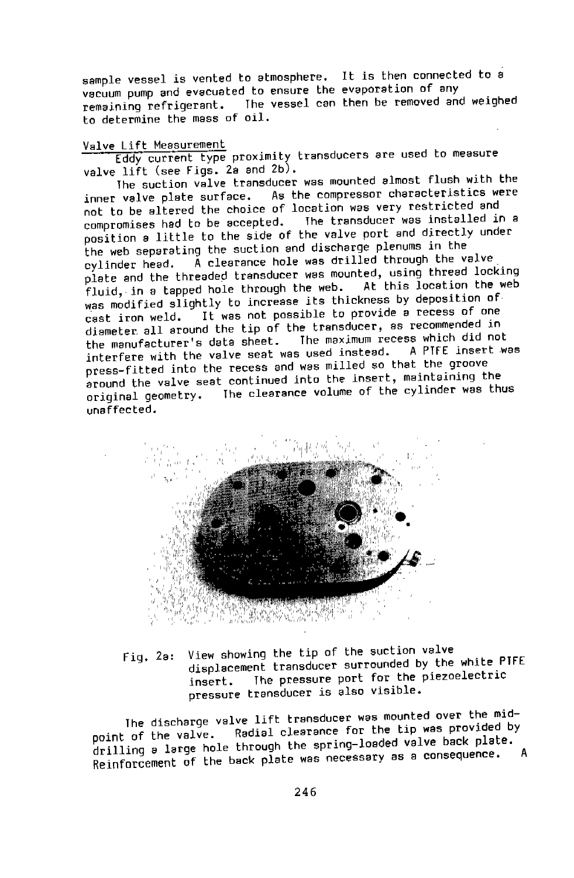sample vessel is vented to atmosphere. It is then connected to a vacuum pump and evacuated to ensure the evaporation of any remaining refrigerant. The vessel can then be removed and weighed to determine the mass of oil.

#### Valve Lift Measurement

Eddy current type proximity transducers are used to measure valve lift (see Figs. 2a and 2b).

The suction valve transducer was mounted almost flush with the inner valve plate surface. As the compressor characteristics were not to be altered the choice of location was very restricted and<br>compromises had to be accepted. The transducer was installed in a compromises had to be accepted. The transducer was installed in <sup>a</sup> position a little to the side of the valve port and directly under the web separating the suction and discharge plenums in the<br>cylinder head. A clearance hole was drilled through the v A clearance hole was drilled through the valve plate and the threaded transducer was mounted, using thread locking<br>fluid, in a tanned bole through the web. At this location the web fluid, in a tapped hole through the web. was modified slightly to increase its thickness by deposition of cast iron weld. It was not possible to provide a recess of one diameter all around the tip of the transducer, as recommended in<br>the manufacturer's data sheet. The maximum recess which did not The maximum recess which did not<br>as used instead. A PIFE insert was interfere with the valve seat was used instead. press-fitted into the recess and was milled so that the groove around the valve seat continued into the insert, maintaining the original geometry. The clearance volume of the cylinder was thus unaffected.



Fig. 2a: View showing the tip of the suction valve displacement transducer surrounded by the white PTFE insert. The pressure port for the piezoelectric pressure transducer is also visible.

The discharge valve lift transducer was mounted over the mid-<br>point of the valve. Radial clearance for the tip was provided by point of the valve. Radial clearance for the tip was provided by<br>point of the valve. Radial clearance for the tip walve back plate. drilling a large hole through the spring-loaded valve back plate. Reinforcement of the back plate was necessary as a consequence.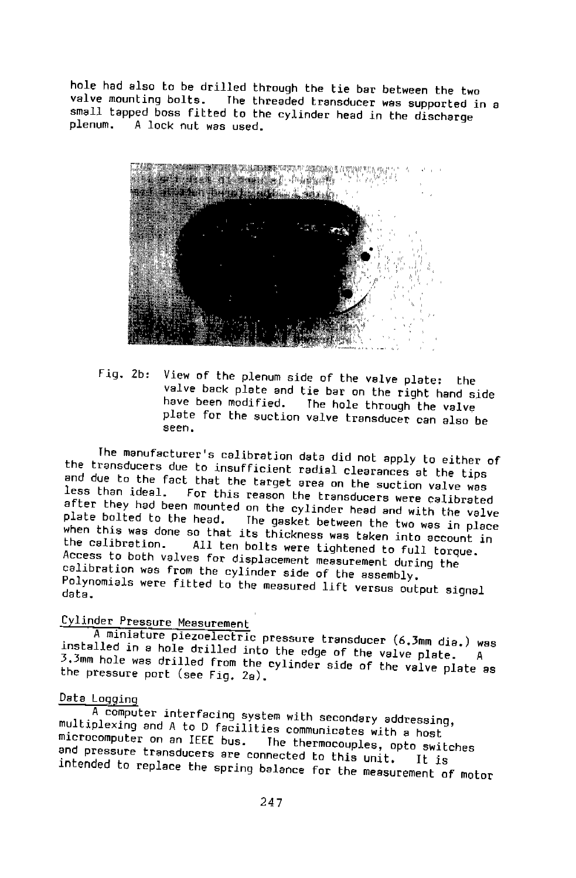valve mounting bolts. The threaded transducer was supported in <sup>a</sup> hole had also to be drilled through the tie bar between the two small tapped boss fitted to the cylinder head in the discharge <sup>p</sup>lenum. A lock nut was used.



Fig. 2b: View of the plenum side of the valve plate: the<br>valve back plate and tie bar on the right hand side<br>have been modified. The hole through the valve The hole through the valve plate for the suction valve transducer can also be seen.

The manufacturer's calibration data did not apply to either of the transducers due to insufficient radial clearances at the tips and due to the fact that the target area on the suction valve was<br>less than ideal. For this reason the transducers was aclib For this reason the transducers were calibrated plate bolted to the head. The gasket between the two was in place<br>when this was done so that its this head to the two was in place after they had been mounted on the cylinder head and with the valve when this was done so that its thickness was taken into account in Access to both valves for displacement measurement during the the calibration. All ten bolts were tightened to full torque. calibration was from the cylinder side of the assembly. Polynomials were fitted to the measured lift versus output signal data.

# Cylinder Pressure Measurement

<sup>A</sup>miniature piezoelectric pressure transducer (6.3mm die.) was 3.3mm hole was drilled from the cylinder side of the valve plate as the pressure port (see Fig. 2a). installed in a hole drilled into the edge of the valve plate.

#### Data Logging

multiplexing and A to D facilities communicates with a host A computer interfacing system with secondary addressing, microcomputer on an IEEE bus. The thermocouples, opto switches and pressure transducers are connected to this unit. It is intended to replace the spring balance for the measurement of motor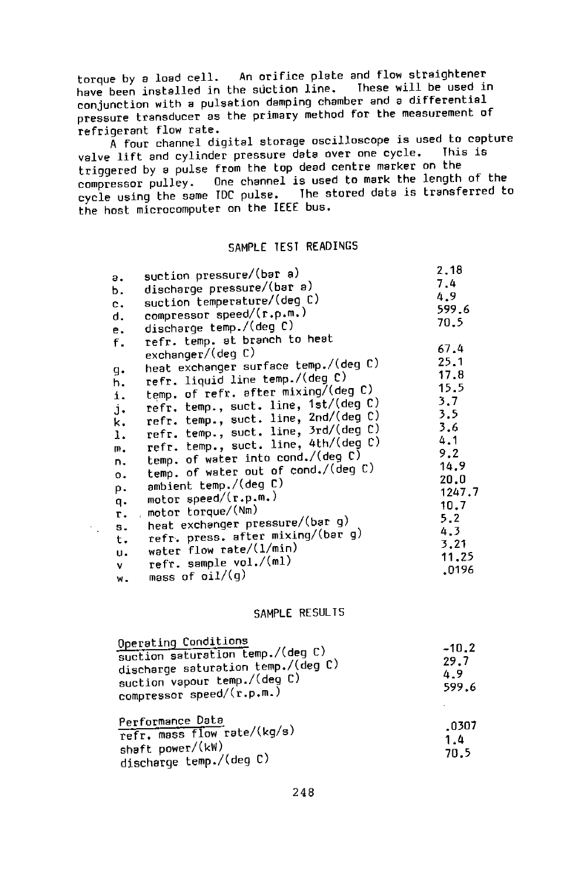torque by a load cell. An orifice plate and flow straightener have been installed in the suction line. These will be used in conjunction with a pulsation damping chamber and a differential pressure transducer as the primary method for the measurement of refrigerant flow rate.

 $\tilde{A}$  four channel digital storage oscilloscope is used to capture valve lift and cylinder pressure data over one cycle. This is triggered by a pulse from the top dead centre marker on the compressor pulley. One channel is used to mark the length of the cycle using the same TDC pulse. The stored data is transferred to the host microcomputer on the IEEE bus.

#### SAMPLE TEST READINGS

|    | suction pressure/(bar a)             | 2.18   |
|----|--------------------------------------|--------|
| а. |                                      | 7.4    |
| Ь. | discharge pressure/(bar a)           | 4.9    |
| c. | suction temperature/(deq C)          | 599.6  |
| d. | compressor speed/(r.p.m.)            | 70.5   |
| e. | discharge temp./(deg C)              |        |
| f. | refr. temp. at branch to heat        |        |
|    | exchanger/(deg C)                    | 67.4   |
|    | heat exchanger surface temp./(deg C) | 25.1   |
| g. | refr. liquid line temp./(deg C)      | 17.8   |
| h. | temp. of refr. after mixing/(deg C)  | 15.5   |
| i. | refr. temp., suct. line, 1st/(deg C) | 3.7    |
| j. |                                      | 3.5    |
| k. | refr. temp., suct. line, 2nd/(deg C) | 3.6    |
| ı. | refr. temp., suct. line, 3rd/(deg C) | 4.1    |
| п. | refr. temp., suct. line, 4th/(deg C) | 9.2    |
| n. | temp. of water into cond./(deg C)    |        |
| о. | temp. of water out of cond./(deg C)  | 14.9   |
| p. | ambient temp./(deg C)                | 20.0   |
|    | motor speed/(r.p.m.)                 | 1247.7 |
| q. | motor torque/(Nm)                    | 10.7   |
| τ. | heat exchanger pressure/(bar g)      | 5.2    |
| s. | refr. press. after mixing/(bar g)    | 4.3    |
| t. |                                      | 3.21   |
| U. | water flow rate/(1/min)              | 11.25  |
| v. | refr. sample vol./(ml)               | .0196  |
| w. | mass of $oi1/(q)$                    |        |

#### SAMPLE RESULTS

| Operating Conditions<br>suction saturation temp./(deg C)<br>discharge saturation temp./(deg C)<br>suction vapour temp./(deg C)<br>compressor speed/(r.p.m.) | $-10.2$<br>29.7<br>4.9<br>599.6 |
|-------------------------------------------------------------------------------------------------------------------------------------------------------------|---------------------------------|
| Performance Data<br>refr. mass flow rate/(kg/s)<br>shaft power/(kW)<br>discharge temp./(deg C)                                                              | .0307<br>1.4<br>70.5            |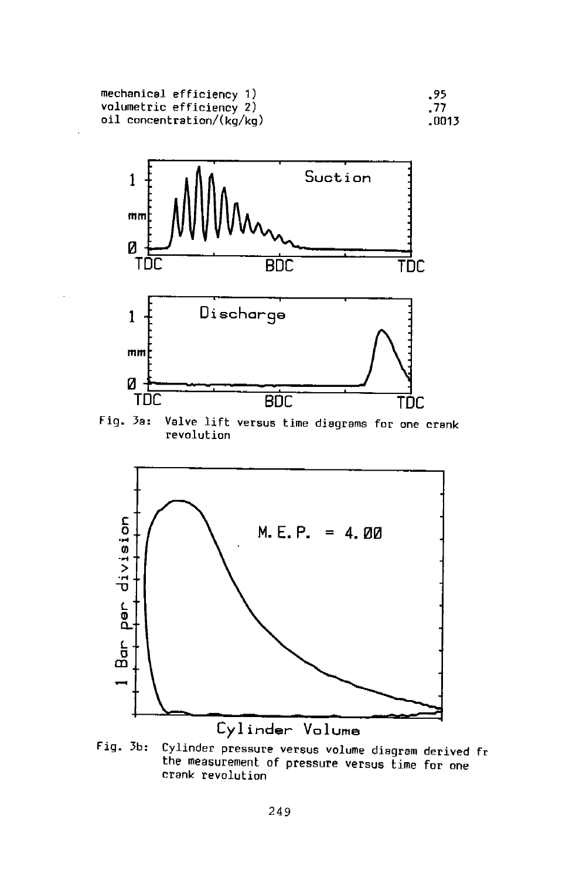mechanical efficiency 1)<br>volumetric efficiency 2) oil concentration/(kg/kg)





Fig. 3a: Valve lift versus time diagrams for one crank revolution



Fig. 3b: Cylinder pressure versus volume diagram derived fr the measurement of pressure versus time for one crank revolution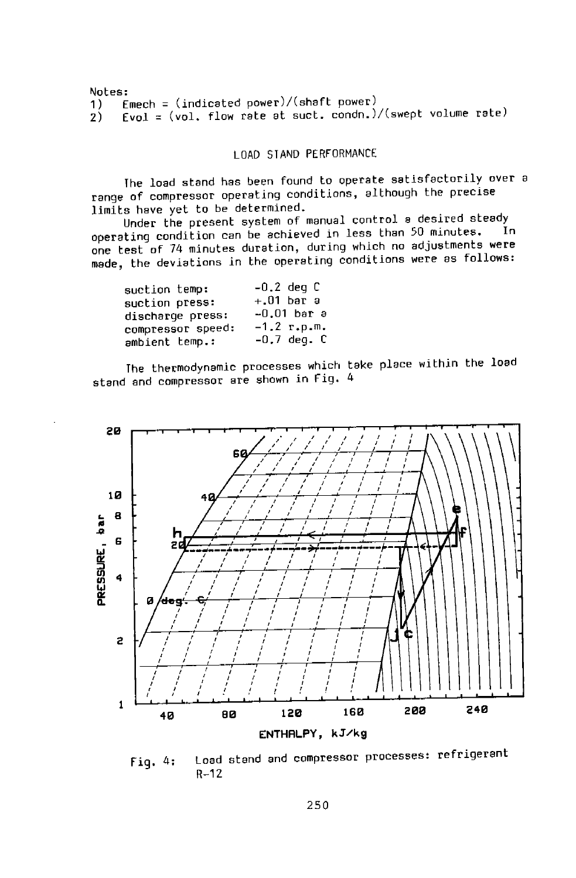```
Notes:<br>1) E
1)   Emech = (indicated power)/(shaft power)<br>2)   Evol = (vol, flow rate at suct, condn.).
       Evol = (vol. flow rate at suct. condn.)/(swept volume rate)
```
#### LOAD STAND PERFORMANCE

The load stand has been found to operate satisfactorily over <sup>a</sup> range of compressor operating conditions, although the precise limits have yet to be determined.

Under the present system of manual control a desired steady<br>Wise subtime are be aphieved in less than 50 minutes. In operating condition can be achieved in less than 50 minutes. one test of 74 minutes duration, during which no adjustments were made, the deviations ln the operating conditions were as follows:

| suction temp:     | $-0.2$ deg C    |
|-------------------|-----------------|
| suction press:    | $+.01$ bar a    |
| discharge press:  | $-0.01$ bar a   |
| compressor speed: | $-1.2$ r.p.m.   |
| ambient temp.:    | $-0.7$ deq. $C$ |

The thermodynamic processes which take place within the load stand and compressor are shown in Fig. <sup>4</sup>



Fig. 4: Load stand and compressor processes: refrigerant R-12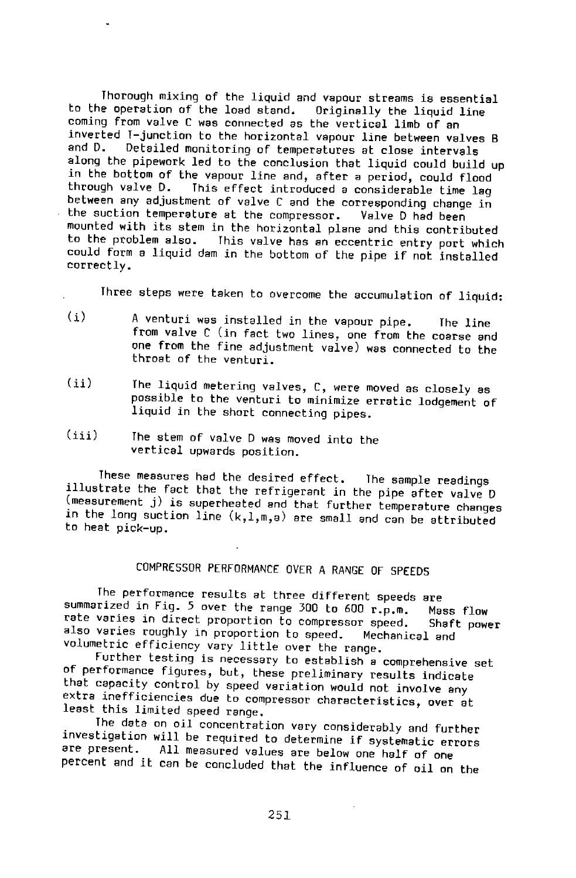Thorough mixing of the liquid and vapour streams is essential<br>e operation of the load stand. Originally the liquid line to the operation of the load stand. coming from valve C was connected as the vertical limb of an inverted T-junction to the horizontal vapour line between valves <sup>B</sup> Detailed monitoring of temperatures at close intervals along the pipework led to the conclusion that liquid could build up in the bottom of the vapour line and, after a period, could flood<br>through valve D. I his effect introduced a considerable time lag This effect introduced a considerable time lag between any adjustment of valve C and the corresponding change in<br>the suction temperature at the compressor. Valve D had been the suction temperature at the compressor. mounted with its stem in the horizontal plane and this contributed to the problem also. This *valve* has an eccentric entry port which could form a liquid dam in the bottom of the pipe if not installed correctly.

Three steps were taken to overcome the accumulation of liquid:

- (i) <sup>A</sup>venturi was installed in the vapour pipe. The line from *valve* C (in fact two lines, one from the coarse and one from the fine adjustment valve) was connected to the<br>throat of the venturi.
- $(iii)$ The liquid metering valves, C, were moved as closely as possible to the venturi to minimize erratic lodgement of liquid in the short connecting pipes.
- $(iii)$ The stem of *valve* D was moved into the vertical upwards position.

These measures had the desired effect. The sample readings illustrate the fact that the refrigerant in the pipe after valve D (measurement j) is superheated and that further temperature changes in the long suction line  $(k,1,m,a)$  are small and can be attributed to heat pick-up.

### COMPRESSOR PERFORMANCE OVER A RANGE OF SPEEDS

The performance results at three different speeds are summarized in Fig. 5 over the range 300 to 600 r.p.m. Mass Flow rate varies in direct proportion to compressor speed. Shaft power<br>also varies roughly in proportion to speed. Mechanical and also varies roughly in proportion to speed. Mechanical and volumetric efficiency vary little over the range.

Further testing is necessary to establish a comprehensive set of performance figures, but, these preliminary results indicate<br>that capacity control by speed variation would not involve any extra inefficiencies due to compressor characteristics, over at least this limited speed range.

The data on oil concentration vary considerably and further investigation will be required to determine if systematic errors are present. All measured values are below one half of one percent and it can be concluded that the influence of oil on the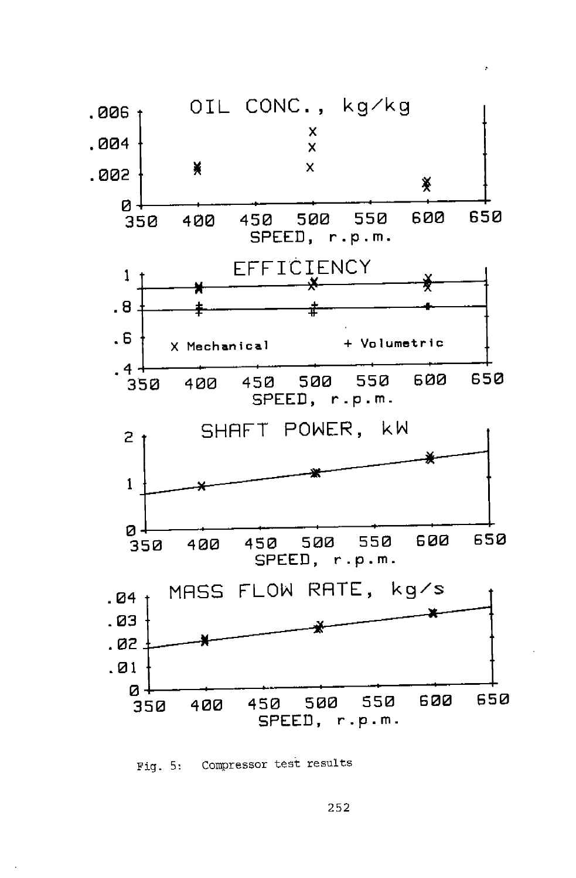

# Fig. 5: Compressor test results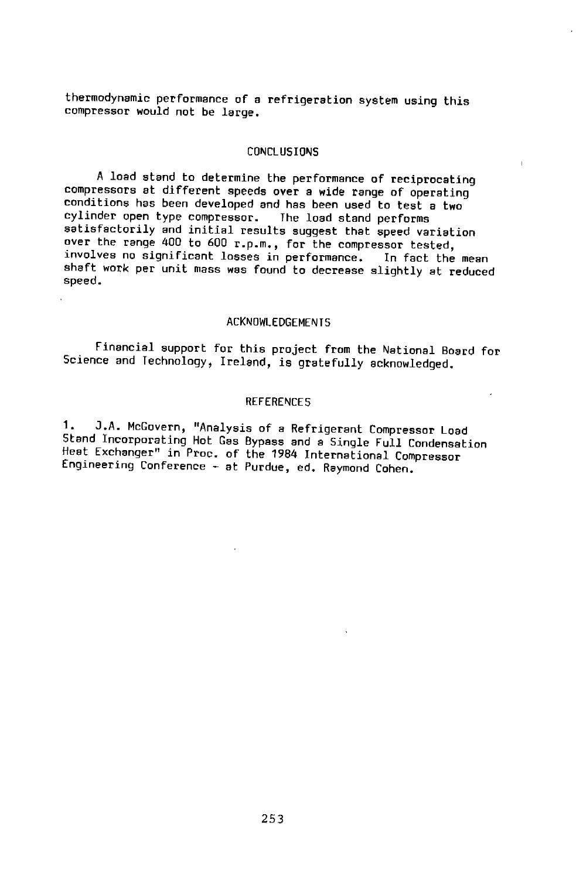thermodynamic performance of a refrigeration system using this compressor would not be large,

#### CONCLUSIONS

<sup>A</sup>load stand to determine the performance of reciprocating compressors at different speeds over a wide range of operating conditions has been developed and has been used to test a two<br>cylinder open type compressor. The load stand performs cylinder open type compressor. satisfactorily and initial results suggest that speed variation over the range 400 to 600 r.p.m., for the compressor tested, shaft work per unit mass was found to decrease slightly at reduced<br>speed.

#### ACKNOWLEDGEMENTS

Financial support for this project from the National Board for Science and Technology, Ireland, is gratefully acknowledged.

#### REFERENCES

1. J.A. McGovern, "Analysis of a Refrigerant Compressor Load Stand Incorporating Hot Gas Bypass and a Single Full Condensation<br>Heat Exchanger" in Proc. of the 1984 International Compressor Engineering Conference - at Purdue, ed. Raymond Cohen.